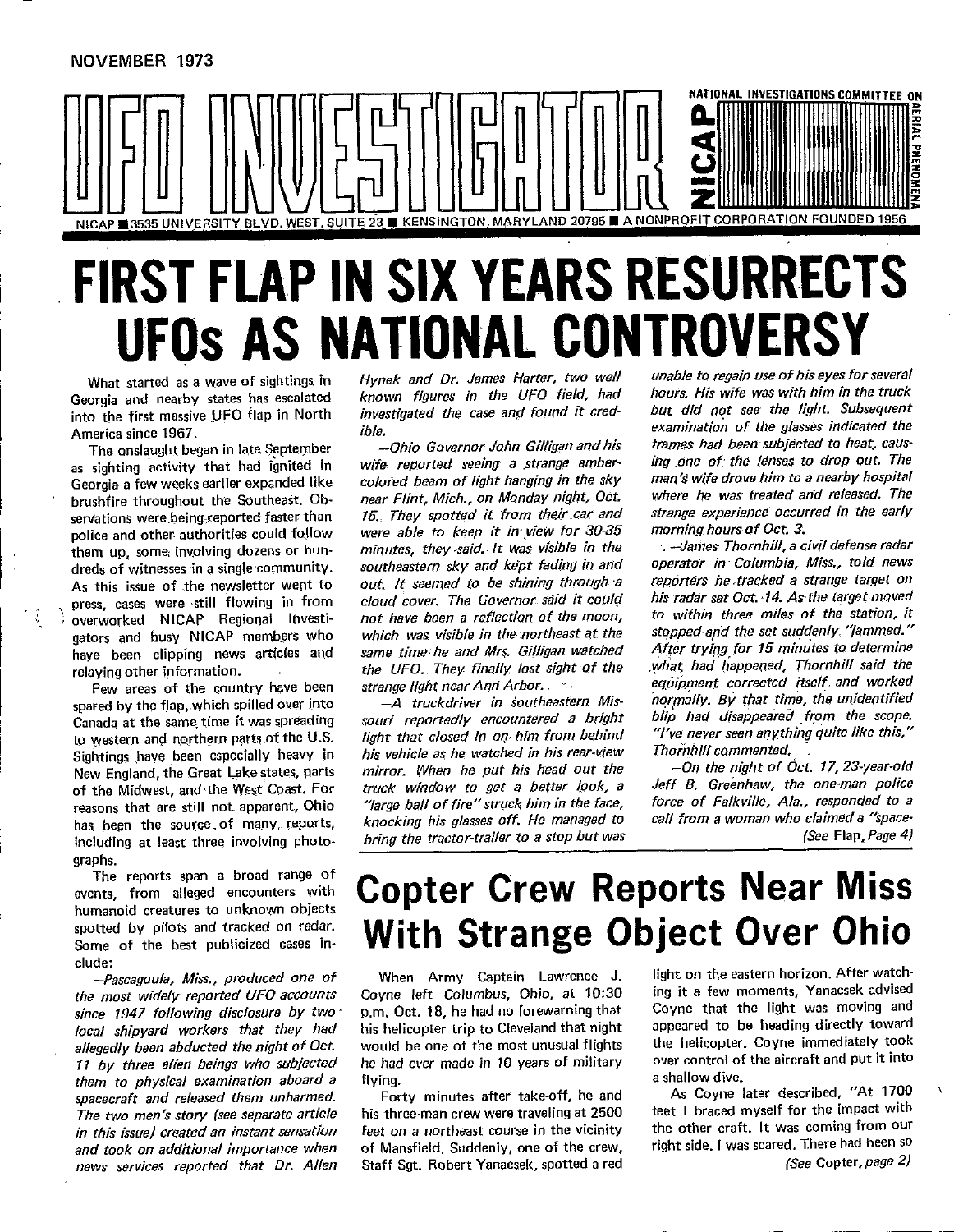

### FIRST FLAP IN SIX YEARS RESURRECTS UFOS AS NATIONAL CONTROVERSY What **st**ar**t**e**d asa wav**e **o**f **sig**h**ti**ng**s i**n Hynek and Dr. James Hatter, two well unable t**o** regain use of his eyes for several

**The only one consider the original consider the consideration of the glasses indicated the**<br> **America since 1967.** *ible.* 

NOVEMBER 1973

as sighting activity that had ignited in wife reported seeing a strange amber- ing one of the lenses to drop out. The Georgia a few weeks eartier expanded like colored beam of light hanging in the sky man's wife drove him to a nearby hospital **brushfire** throughout the Southeast, Ob-<br>brushfire throughout the Southeast, Ob-<br>near Flint, Mich., on Monday night, Oct. **polyionally** a servations were being reported faster than 15. They spotted it from their car and strange experience occurred in the early **the manufarm is a controlled to some that** in the solid to low were able to keep it in view for 30-35 morning hours of Oct. 3. them up, some involving dozens or hun- minutes, they said. It was visible in the -James Thornhill, a civil defense radar dreds of witnesses in a single community. southeastern sky and kept fading in and operator in Columbia, Miss., told news areas of withesess are sugged continuously. The Governor set of the shining through a reporters he tracked a strange target on press, cases were still flowing in from cloud cover. The Governor said it could his radar set Oct. 14. As the target moved

has been the source of many, reports,<br>including at least three involving photo-

The reports span a broad range of events, from alleged encounters with spotted by pifots and tracked on rad

the most widely reported UFO accounts Coyne left Columbus, Ohio, at 10:30 ing it a few moments, Yanacsek advised ince 1947 following disclosure by two p.m. Oct. 18, he had no forewarning that Coyne that the light was moving and decal shipvard workers that they had his helicopter trip to Cleveland that night appeared to be heading directly toward 1. by the allegedly been abducted the night of Oct. would be one of the most unusual flights the helicopter. Coyne immediately took spacecraft and release them under them under them under them under them under them under them a shallow dive. spacecraft and released them unharmed. Forty minutes after take-off, he and As Coyne later described, "At 1700 in this issue) created an instant sensation feet on a northeast course in the vicinity the other craft. It was coming from our and took on additional importance when of Mansfield. Suddenly, one of the crew, right side. I was scared. There had been so news services reported that Dr. Allen

**into into** *the first in the first in the truck* in the UFO field, had hours. His wife was with him in the truck Georgia and nearby states has escalated known figures in the UFO field, had hours. His wife was with him i into the first massive UFO flap in North *investigated the case and found it cred-* but did not see the light. Subsequent

**hability** and busy NICAP members who which was visible in the northeast at the stopped and the set suddenly "jammed." **Fe** interest **F** calibration and the UFO. They finally lost sight of the what had happened, Thornhill said the relaying other information.

**Canada at the same time it was spreading** souri reportedly encountered a bright blip had disappeared from the scope. to western and northern parts of the U.S. light that closed in on him from behind "I've never seen anything quite like this," **New** *Englandom* Englandom **Englandom**, *his vehicle as he watched in his rear-view* **Thornhill commented. New England, the Great Lake states, parts** mirror. When he put his head out the  $-$ On the night of Oct. 17, 23-year-old of the Midwest, and the West Coast. For truck window to get a better look, a Jeff B. Greenhaw, the one-man police becall the social transferress of the social term of the struck him in the face, force of Falkville, Ala., responded to a  $k$ nocking his glasses off, He managed to call from a woman who claimed a "spacebring the tractor-trailer to a stop but was

What started as a wave of sightings in Hynek and Dr. James Harter, two well unable to regain use of his eyes for several **The onslaught began in late September** - Ohio Governor John Gilligan and his frames had been subjected to heat, caus-

pross, cases were still become in the more than the matter in the moon, to within three miles of the station, it have been clipping news articles and same time he and Mrs. Gilligan watched After trying for 15 minutes to determine s**pa**F**edby th**e **f**J**ap**, w**h c**h **sp led ove**r n**to --**A truckdriver in southeastern Mis**-** normally**.** By that time, the unidentified spared by the flap, which spilled over into  $-A$  truckdriver in southeastern Mis-<br>normally. By that time, the unidentified

(See Flap, Page 4)

### The **<sup>r</sup>**ep**o**rts <sup>s</sup>**p**an <sup>a</sup> broad ra**n**ge of **Copter Crew R**e**ports N**e**ar Mis**s **acts** Cuplet Crew Reputed Near Missions --Pascagoula, Miss.**,** produced one of **When** A**rmy** Ca**pt**a**i**n **Law**r**e**n**c**e **J. l**igh**t on t**he **ea**s**tern** h**orizon.** Af**t**e**r watch-**

11 by three alien beings who subjected he had ever made in 10 years of military over control of the aircraft and put it into

The two men's story (see separate article his three-man crew were traveling at 2500 feet I braced myself for the impact with Staff Sgt. Robert Yanacsek, spotted a red

clude:<br>--Pascagoula, Miss., produced one of a When Army Captain Lawrence J. Iight on the eastern horizon. After watch-

(See Copter, page 2)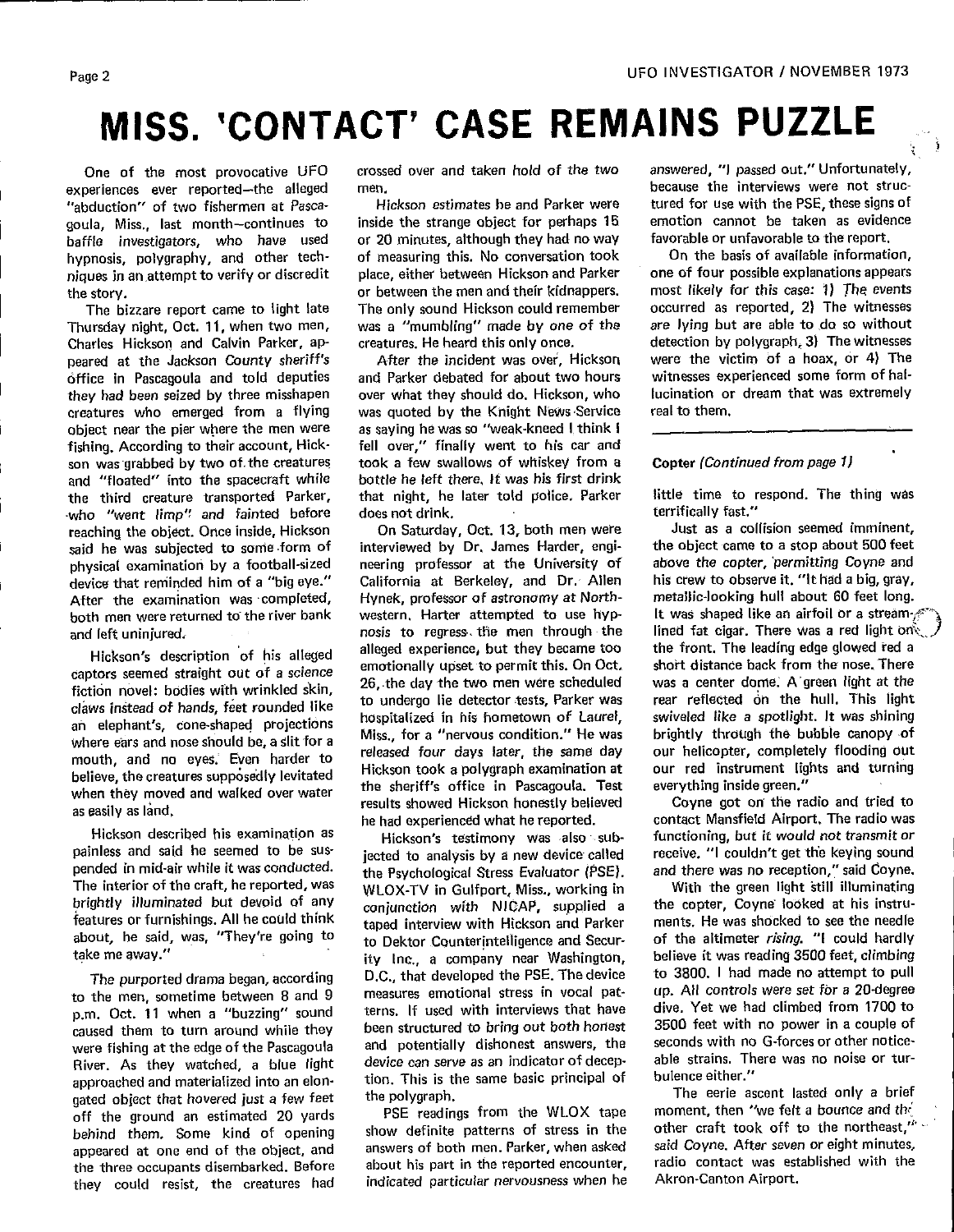## **MISS. 'CONTACT' CASE REMAINS PUZZLE**

-experiences ever reported—the alleged men.<br>"abduction" of two fishermen at Pasca- Hickson estimates he and Parker were tured for use with the PSE, these signs of "abduction" of two fishermen at Pasca- Hickson estimates he and Parker were tured for use with the PSE, these signs of<br>goula. Miss , last month—continues to inside the strange object for perhaps 15 emotio goula, Miss., last month-continues to inside the strange object for perhaps 15 emotion cannot be taken as evider<br>baffle investigators, who have used or 20 minutes, although they had noway favorable or unfavorable to the re baffle investigators, who have used or 20 minutes, although they had no-way favorable-or-unfavorable-to-the-report.<br>hypnosis, polygraphy, and other tech-of-measuring-this. No-conversation-took On-the-basis-of-available-inf hypnosis, polygraphy, and other tech- of measuring this. No conversation took of the basis of available information,<br>niques in an attempt to verify or discredit place, either between Hickson and Parker one of four possible niques in **a**n**a**ttempt t**o** ver**i**f**y** or discredit **p**lace, either be**t**ween Hickson **a**nd Parker **o**ne of four poss**i**ble explan**a**t**io**ns **a**p**p**ears

Thursday night, Oct. 11, w**h**en **t**wo men, was a "mumbling" made by one of the are lying but are able to de s**o** without Charles H **e**kson and Calv**i**n Parker, ap- creatures. He heard this only once. detection b**y** polygrap**h** s3) T**h**e witn**e**sses peered at t**h**e J**ac**kson C**o**unt**y**' sheriff's After the incident w**a**s **ov**er, Hickson were the **vi**ct**im O**f a h**o**ax, or **4)** T**h**e **o**ffice in Paseagou**l**a and told deputies and Parker debated for about two hour**s** witnesses experie**nc**ed some f**o**rm of halcreatures who emerged from a flying was quoted by the Knight News Service object near the pier where the men were as saying he was so "weak-kneed I think I **o**bject near the pier w**h**ere the men were as sa**v**ing he was so "weak-kneed I think I fishing. According to their account, Hick- fell over," finally went to **h**i**s** car and son was grabbed b**y** two of the creature**s** took a few swallows of w**h**iskey from a **C**op**t**er (Continued from page I} and "fl**o**ated" into t**h**e spacecraft while bottle he left there, It was hi**s** first dr**i**nk the t**h**ird creature transporte**d** Park**e**r, that ni**g**ht, he later told **p**olic**e**, **P**arker li**t**tle time to respond. The t**h**ing was who "went limp" and fainted before all does not drink, and the state of terrifically fast."<br>The reaching the object. Once inside, Hickson and On-Saturday, Oct. 13, both men were a lust as a collision seemed imminent, reaching the ob|eet. Once inside, Hickson On Saturday, Oct. 13, bo**t**h men were Jus**t** as a colli**s**ion seemed imminent, said he was subjec**t**ed to some,form of interviewed by Dr**.** James Harder, engi- the **o**bject **c**ame to a stop about 5**0**0 feet physical examination by a football-sized heering professor at the University of habove the copter, permitting Coyne and<br>device that reminded him of a "bigleye." A California at Berkeley, and Dr. Allen his crew to observe i device t**h**at rem**i**nded h**i**m of a "big eye." California at Berkeley, and Dr**.** Al**l**en his crew to obser**v**e it. "It had a big, gray, After the examination was completed, Hynek, professor of astronomy at North- metallic-looking hull about 60 feet long.<br>both men were returned to the river bank western. Harter attempted to use hyp- It was shaped like an ai

captors seemed straight out of a science emotionally upset to permit this, on Oct, short distance back front the nose, filered by the nose, there is a center dome. A green light at the fiction novel: bodies with wrinkled skin,  $\frac{20}{100}$  the two men were scheduled was a center dome. A green tight at the cla**ws i**nstead of han**ds**, feet r**o**unded like to undergo lie detector tests, Parker wa**s** rear reflected on the hull. This ligh**t** where ears and nose should be, a slit for a surface of the state of the same day our helicopter, completely flooding our mouth, and no eyes. Even harder to released four days later, the same day our relictioner, completely hooding our<br>Letters the wastume was sailly lautested. Hickson took a polygraph examination at our red instrument lights believe, the creatures supposedly levitated Figures in the specific in Pascagoula. Test everything inside green." when they moved and walked over water the sperific office in Pascagoula. Test everything inside green.<br>es exily a lend on the radio and tried to

Hickson described his examination as<br>Hickson's testimony was also sub-<br>painless and said he seemed to be sus-<br>jected to analysis by a new device called receive. "I couldn't get the keying sound painless and said he seemed to be sus-<br>pended in mid-air while it was conducted. The Psychological Stress Evaluator (PSE).

approached and materialized into an elon-<br>gated object that hovered just a few feet the polygraph. The eerie ascent lasted only a brief off the ground an estimated 20 yards PSE readings from the WLOX tape moment, then "we felt a bounce and the<br>hebind them Some kind of opening show definite patterns of stress in the other craft took off to the northeast," behind them. Some kind of opening show definite patterns of stress in the comer craft took off to the northeast,<br>appeared at one and of the object and answers of both men Parker, when asked said Coyne. After seven or eight appeared at one end of the object, and answers of both men. Parker, when asked said Coyne. After seven or eight minutes,<br>the three occupants disembarked. Before about his part in the reported encounter, radio contact was e the three **o**ccu**p**ants **d**isembarked**.** Before a**b**out his part **i**n the reported encounter, radi**o** co**n**tact was established with the t**h**ey cou**l**d **r**e**s**ist**, th**e creatures **h**ad i**nd**icated particular ner**v**ou**s**ness **w**hen he Akr**on**-Canton **A**irport.

or between the men and their kidnappers, most likely for this case: 1) The events<br>The only sound Hickson could remember occurred as reported, 2) The witnesses The b**i**zzare repor**t** came to light late Th**e** only sound Hickson could remember occurred as re**p**orted, 2) The witnesses

over what they should do. Hickson, who lucination or was quoted by the Knight News Service real to them.

Hickson's description of his alleged alleged experience, but they became too the front. The leading edge glowed red a<br>Hickson's description of his alleged emotionally upset to permit this. On Oct. short distance back from an elephant's, cone-shaped projection**s h**ospitalized in **h**is hometown of Laurel, swivele**d** like a **s**potl**i**ght. It **w**as shining as easily as land, and the radio was results showed rickson nonestly beneved the coyne got on the radio and the<br>he had experienced what he reported. contact Mansfield Airport, The radio was

pended in mid-air while it was conducted.<br>The interior of the craft, he reported, was will no X-TV in Gulfport. Miss., working in and there was no reception," said Coyne. The interi**o**r of the craft, he rep**o**rted, was WLOX-TV in Gulfp**o**rt, **M**iss., workin**g** in With the green li**g**ht **s**till ill**u**min**a**ting brightly illuminated but devoid of any examiunction with NICAP, supplied a the copter, Coyne looked at his instru<br>features or furnishings. All he could think taned interview with Hickson and Parker ments. He was shocked to features or furnis**h**ings. All be could th**i**nk taped interview with Hickson and Parker ments. He was shocked **t**o see t**h**e ne**e**dle a**b**out, he sa**i**d, was, "The**y**'re going to to Dektor C**o**uaterintel|igence and Secur- of th**e** altimeter rising. "1 coul**d** hardly ity Inc., a company near Washington, believe it was reading 3500 feet, climbing<br>D.C., that developed the PSE. The device to 3800. I had made no attempt to pull The purported drama began, according D.C., that developed the PSE. **T**he device to 3800. I bad ma**d**e no attempt to pull to the men, sometime between 8 and 9 measures emotional stress in vocal pat-<br>p.m. Oct. 11 when a "buzzing" sound terns. If used with interviews that have dive. Yet we had climbed from 1700 to been structured to bring out both honest 3500 feet with no power in a couple of cau**s**e**d** them **to tu**r**n a**r**o**und **w**h**i**le they **b**een **s**truc**tur**ed t**o** bri**n**g out both honest 3500 feet with no power in a couple of were fishing at the edge of the Pascagoula and potentially distionest answers, the seconds with no G-forces of other notice-<br>Biver As they watched a blue light device can serve as an indicator of decep- able strains. There River. As they watched, a blue light device can serve as an indicator of decep- able strains. In<br>approached and materialized into an elon- tion. This is the same basic principal of bulence either."

One of the most provocative UFO crossed over and taken hold of the two answered, "I passed out," Unfortunately,<br>periences ever reported—the alleged men.

; i

and left uninjured. There was a red light on the contract of the state of the contract of the contract of the state of the contract of the contract of the state of the contract of the state of the contract of the contract

he had experieneed what he reported, cont**a**ct M**a**nsf**i**el**d** Airpo**rt**, T**h**e rad**i**o wa**s**

 $PSE$  readings from the WLOX tape moment, then "we felt a bounce and the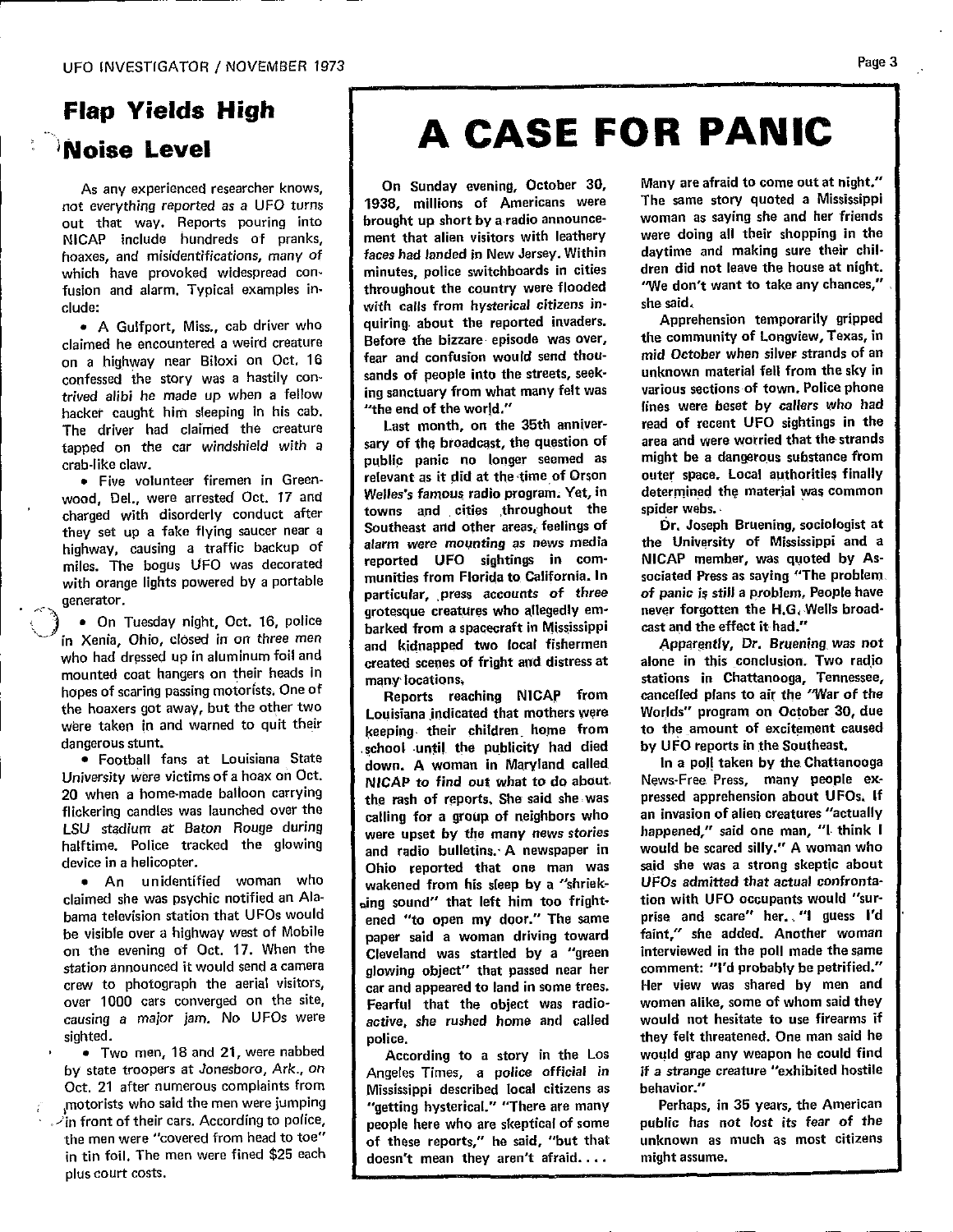# **F**l**a**p **Y**i**e**l**d**s **H**ig**h**

out that way. Reports pouring into throught up short by a radio announce-<br>out that way. Reports pouring into throught up short by a radio announce-<br> NICAP include hundreds of pranks, ment that alien visitors with leathery were doing all their shopping in the hoaxes, and misidentifications, many of **faces had landed in New Jersey. Within** daytime and making sure their chil-<br>which have provoked widespread con- minutes, police switchboards in cities dren did not leave the house a fusion and alarm. Typical examples in-<br>clude: clude: clude: clude: clude: clude:

claimed he encountered a weird creature Before the bizzare episode was over, the community of Longview, rexas, in<br>on a highway near Biloxi on Oct, 16 fear and confusion would send thou- mid October when silver strands of confessed the story was a hastily con-<br>rejust that many felt was a various sections of town, Police phone<br>rejust alibi he made un when a fellow ing sanctuary from what many felt was various sections of town, Police phone trived alibi he made up when a fellow ing sanctuary from what many telt was various sections of town, Police phone<br>hacket caught him sleeping in his cab. I "the end of the world." [ines were beset by callers who had hacker caught him sleeping in his cab. The end of the world." The swere beset by callers who had<br>The driver had claimed the creature Last month, on the 35th anniver- read of recent UFO sightings in the The driver had claimed the creature the sast month, on the 35th anniver-<br>fapped on the car windshield with a sary of the broadcast, the question of area and were worried that the strands tapped on the car windshield with a sary of the broadcast, the question of area and were worried that the strands<br>crab-like claw.

wood, Del., were arrested Oct. 17 and Welles's famous radio program. Yet, in determined to<br>charged with disorderly conduct after towns and cities throughout the spider webs. charged with disorderly conduct after towns and cities throughout the spider webs.<br>they set up a fake flying saucer pear a Southeast and other areas, feelings of Dr. Joseph Bruening, sociologist at they set up a fake flying saucer near a **Southeast and other areas, teelings of Brand Dr.** Joseph Bruening, sociologist at a bighway causing a traffic backup of **alarm** were mounting as news media the University of Missis highway, causing a traffic backup of **following a structure as news media** the University of Mississippi and a highway, causing a traffic backup of **following** and a miles. The boods UFO was decorated reported UFO sighting miles. The bogus UFO was decorated reported UFO signtings in com- NICAP member, was quoted by As-<br>with orange lights powered by a portable munities from Florida to California. In sociated Press as saying "The problem generator. The particular, press accounts of three of panic is still a problem. People have

in Xenia, Ohio, closed in on three men and kidnapped two local fishermen Apparently, Dr. Bruening was not who had dressed up in aluminum foil and<br>mounted coat hangers on their heads in<br>mounted coat hangers on their heads in mounted coat hangers on their heads in a many locations,<br>hopes of scaring passing motorists. One of a concert coaching NICAP from cancelled plans to air the "War of the hopes of scaring passing motorists. One of **Francisco Contract and September 10** hopes of scaring passing motorists. One of the Temports reaching NICAP from cancelled plans to air the "War of the the other 20 due were taken in and warned to quit their second their children home from to the amount of excitement caused

• Football fans at Louisiana State<br>University were victims of a hoax on Oct.<br>
NICAD to find out what to do about. News-Free Press. many neonle ex-University were victims of a hoax on Oct.<br>20 when a home-made balloon carrying the rash of reports, She said she was pressed apprehension about UFOs, If flickering candles was launched over the easily regions, she said site was represent approximately distributed LSU stadium at Baton Rouge during<br>halftime. Police tracked the glowing and radio bulletins. A newspaper in would be scared silly." A woman who

claimed she was psychic notified an Ala-  $\int_{\text{wind}}$  sound" that left him too fright- tion with UFO occupants would "sur**claimed** s**he w**a**s** p**sychic noti**f**i**e**d an** A**la-** \_**ing sOund**" **tha**t **left hi**m **too fright- tion with UFO** o**ccup**a**nts would** "**sur**be visible over a highway west of Mobile | naper said a woman driving toward faint," she added. Another woman be visible over a highway west of MObile<br>on the evening of Oct. 17. When the serve of the cleveland was startled by a "green interviewed in the poll made the same station announced it would send a camera  $\int$  glowing object" that passed near her comment: "I'd probably be petrified." crew to photograph the aerial visitors, car and appeared to land in some trees. Her view was shared by men and over 1000 cars converged on the site, Fearful that the object was radio- women alike, some of whom said they causing a major jam. No UFOs were  $\int$  active, she rushed home and called would not hesitate to use firearms if

by state troopers at Jonesboro, Ark., on | Angeles Times, a police official in if a strange creature "exhibited hostile Oct. 21 after numerous complaints from Mississippi described local citizens as behavior." *n*<sub>c</sub> about the men were jumping | "getting hysterical." "There are many Perhaps, in 35 years, the American  $\dot{\mathcal{L}}$  in front of their cars. According to police,  $\blacksquare$  people here who are skeptical of some public has not lost its fear of the the men were "covered from head to toe" | of these reports," he said, "but that unknown as much as most citizens in tin foil. The men were fined \$25 each doesn't mean they aren't afraid.... might assume. **plus** c**o**urt **cost**s.....

## $\therefore$  Noise Level  $\qquad$  **A CASE FOR PANIC**

i de la construcción de la construcción de la construcción de la construcción de la construcción de la construcción

faces had landed in New Jersey. Within daytime and making sure their chilthroughout the country were flooded "We don't want to take any chances," cultural *colume terms* in the contract invaders. Apprehension temporarily gripped • A Gulfport, Miss., cab driver who cuiring about the reported invaders. Apprehension temporarily gripped<br>imed he encountered a weird creature and Before the bizzare episode was over, the community of Longview, Texas, in sands of people into the streets, seek-<br>unknown material fell from the sky in

**cra**b**-li**k**e claw. pub**li**c pa**nic **no** l**onge**r **s**ee**med** a**s might** b**e a** d**angerous substance from** Welles's famous radio program. Yet, in determined the material was common grotesque creatures who allegedly em- never forgotten the H.G. Wells broad-• On Tuesday night, Oct. 16, police harked from a spacecraft in Mississippi cast and the effect it had."

Louisiana indicated that mothers were Worlds" program on October 30, due dangerous stunt. et al. et al. et al. et al. et al. et al. et al. et al. et al. et al. et al. et al. et al. et a device in a helicopter.<br>
Ohio reported that one man was said she was a strong skeptic about **e** An unidentified woman who **report wakened from his sleep by a "shriek- UFOs admitted that actual confronta**causing a major jam. No UFOs were active, she rushed home and called would not hesitate to use firearms if causing a major jam. No UFOs were active, she rushed home and called would not hesitate to use firearms if police.

[**n** t**in** f**oil. The** men **were** f**ine**d **\$**2**5 e**ac**h doesn**'**t mean they aren**'**t afraid** .... **might assume.**

As any experienced researcher knows, On Sunday evening, October 30, Many are afraid to come out at night."<br>not everything reported as a UFO turns 1938, millions of Americans were The same story quoted a Mississippi

• Two men, 18 and 21, were nabbed  $\begin{bmatrix} 1 & 0 \\ 0 & 0 \end{bmatrix}$  According to a story in the Los would grap any weapon he could find